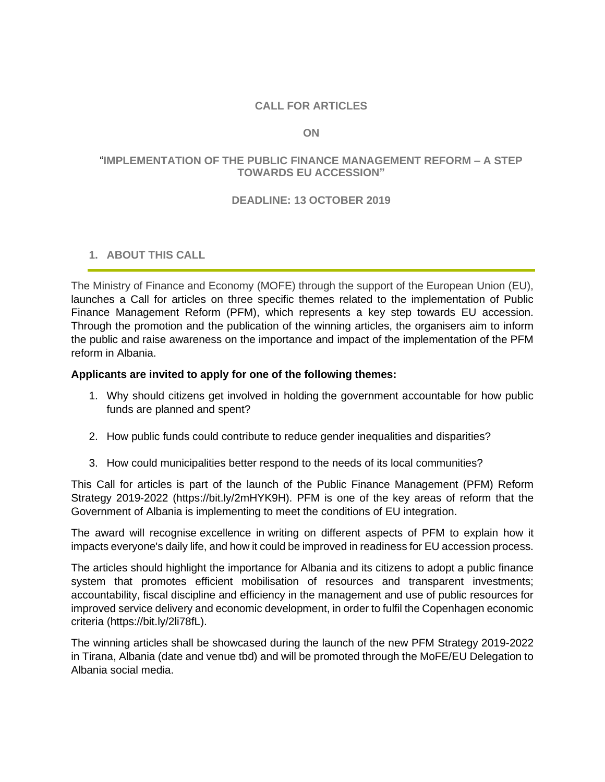# **CALL FOR ARTICLES**

#### **ON**

## "**IMPLEMENTATION OF THE PUBLIC FINANCE MANAGEMENT REFORM – A STEP TOWARDS EU ACCESSION"**

### **DEADLINE: 13 OCTOBER 2019**

## **1. ABOUT THIS CALL**

The Ministry of Finance and Economy (MOFE) through the support of the European Union (EU), launches a Call for articles on three specific themes related to the implementation of Public Finance Management Reform (PFM), which represents a key step towards EU accession. Through the promotion and the publication of the winning articles, the organisers aim to inform the public and raise awareness on the importance and impact of the implementation of the PFM reform in Albania.

### **Applicants are invited to apply for one of the following themes:**

- 1. Why should citizens get involved in holding the government accountable for how public funds are planned and spent?
- 2. How public funds could contribute to reduce gender inequalities and disparities?
- 3. How could municipalities better respond to the needs of its local communities?

This Call for articles is part of the launch of the Public Finance Management (PFM) Reform Strategy 2019-2022 (https://bit.ly/2mHYK9H). PFM is one of the key areas of reform that the Government of Albania is implementing to meet the conditions of EU integration.

The award will recognise excellence in writing on different aspects of PFM to explain how it impacts everyone's daily life, and how it could be improved in readiness for EU accession process.

The articles should highlight the importance for Albania and its citizens to adopt a public finance system that promotes efficient mobilisation of resources and transparent investments; accountability, fiscal discipline and efficiency in the management and use of public resources for improved service delivery and economic development, in order to fulfil the Copenhagen economic criteria (https://bit.ly/2li78fL).

The winning articles shall be showcased during the launch of the new PFM Strategy 2019-2022 in Tirana, Albania (date and venue tbd) and will be promoted through the MoFE/EU Delegation to Albania social media.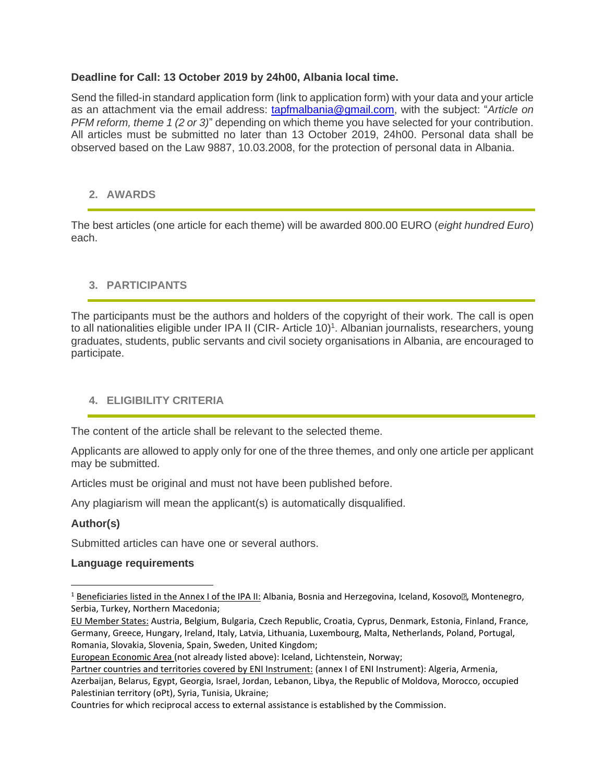## **Deadline for Call: 13 October 2019 by 24h00, Albania local time.**

Send the filled-in standard application form (link to application form) with your data and your article as an attachment via the email address: tapfmalbania@gmail.com, with the subject: "*Article on PFM reform, theme 1 (2 or 3)*" depending on which theme you have selected for your contribution. All articles must be submitted no later than 13 October 2019, 24h00. Personal data shall be observed based on the Law 9887, 10.03.2008, for the protection of personal data in Albania.

### **2. AWARDS**

The best articles (one article for each theme) will be awarded 800.00 EURO (*eight hundred Euro*) each.

## **3. PARTICIPANTS**

The participants must be the authors and holders of the copyright of their work. The call is open to all nationalities eligible under IPA II (CIR- Article 10)<sup>1</sup>. Albanian journalists, researchers, young graduates, students, public servants and civil society organisations in Albania, are encouraged to participate.

## **4. ELIGIBILITY CRITERIA**

The content of the article shall be relevant to the selected theme.

Applicants are allowed to apply only for one of the three themes, and only one article per applicant may be submitted.

Articles must be original and must not have been published before.

Any plagiarism will mean the applicant(s) is automatically disqualified.

## **Author(s)**

Submitted articles can have one or several authors.

#### **Language requirements**

<sup>&</sup>lt;sup>1</sup> Beneficiaries listed in the Annex I of the IPA II: Albania, Bosnia and Herzegovina, Iceland, Kosovo , Montenegro, Serbia, Turkey, Northern Macedonia;

EU Member States: Austria, Belgium, Bulgaria, Czech Republic, Croatia, Cyprus, Denmark, Estonia, Finland, France, Germany, Greece, Hungary, Ireland, Italy, Latvia, Lithuania, Luxembourg, Malta, Netherlands, Poland, Portugal, Romania, Slovakia, Slovenia, Spain, Sweden, United Kingdom;

European Economic Area (not already listed above): Iceland, Lichtenstein, Norway;

Partner countries and territories covered by ENI Instrument: (annex I of ENI Instrument): Algeria, Armenia, Azerbaijan, Belarus, Egypt, Georgia, Israel, Jordan, Lebanon, Libya, the Republic of Moldova, Morocco, occupied Palestinian territory (oPt), Syria, Tunisia, Ukraine;

Countries for which reciprocal access to external assistance is established by the Commission.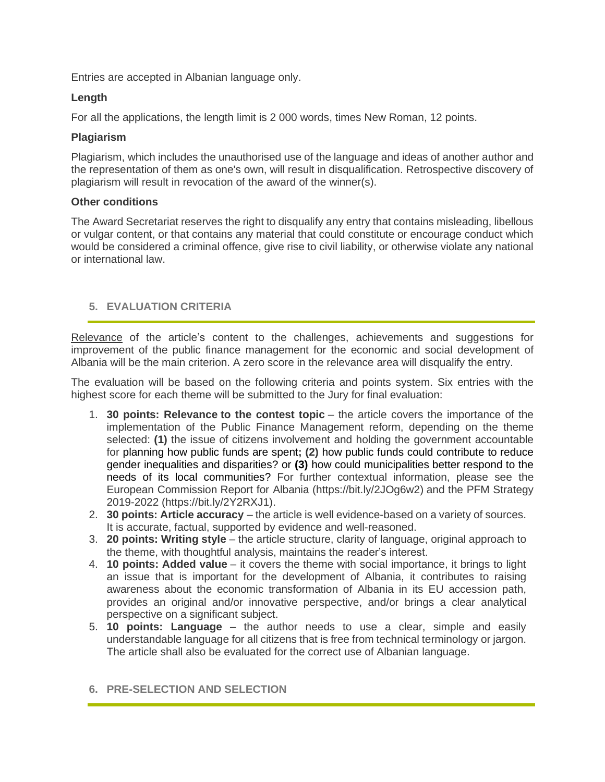Entries are accepted in Albanian language only.

## **Length**

For all the applications, the length limit is 2 000 words, times New Roman, 12 points.

### **Plagiarism**

Plagiarism, which includes the unauthorised use of the language and ideas of another author and the representation of them as one's own, will result in disqualification. Retrospective discovery of plagiarism will result in revocation of the award of the winner(s).

### **Other conditions**

The Award Secretariat reserves the right to disqualify any entry that contains misleading, libellous or vulgar content, or that contains any material that could constitute or encourage conduct which would be considered a criminal offence, give rise to civil liability, or otherwise violate any national or international law.

# **5. EVALUATION CRITERIA**

Relevance of the article's content to the challenges, achievements and suggestions for improvement of the public finance management for the economic and social development of Albania will be the main criterion. A zero score in the relevance area will disqualify the entry.

The evaluation will be based on the following criteria and points system. Six entries with the highest score for each theme will be submitted to the Jury for final evaluation:

- 1. **30 points: Relevance to the contest topic** the article covers the importance of the implementation of the Public Finance Management reform, depending on the theme selected: **(1)** the issue of citizens involvement and holding the government accountable for planning how public funds are spent**; (2)** how public funds could contribute to reduce gender inequalities and disparities? or **(3)** how could municipalities better respond to the needs of its local communities? For further contextual information, please see the European Commission Report for Albania (https://bit.ly/2JOg6w2) and the PFM Strategy 2019-2022 [\(https://bit.ly/2Y2RXJ1\)](https://bit.ly/2Y2RXJ1).
- 2. **30 points: Article accuracy** the article is well evidence-based on a variety of sources. It is accurate, factual, supported by evidence and well-reasoned.
- 3. **20 points: Writing style** the article structure, clarity of language, original approach to the theme, with thoughtful analysis, maintains the reader's interest.
- 4. **10 points: Added value** it covers the theme with social importance, it brings to light an issue that is important for the development of Albania, it contributes to raising awareness about the economic transformation of Albania in its EU accession path, provides an original and/or innovative perspective, and/or brings a clear analytical perspective on a significant subject.
- 5. **10 points: Language** the author needs to use a clear, simple and easily understandable language for all citizens that is free from technical terminology or jargon. The article shall also be evaluated for the correct use of Albanian language.

## **6. PRE-SELECTION AND SELECTION**